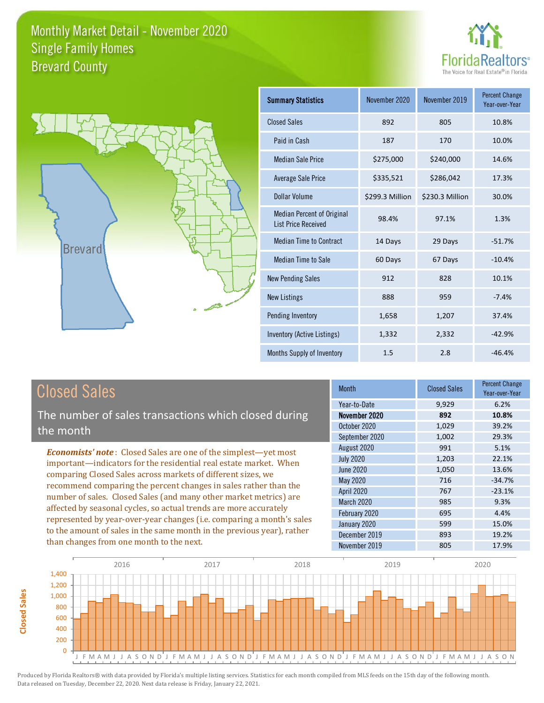



| <b>Summary Statistics</b>                                       | November 2020   | November 2019   | <b>Percent Change</b><br>Year-over-Year |
|-----------------------------------------------------------------|-----------------|-----------------|-----------------------------------------|
| <b>Closed Sales</b>                                             | 892             | 805             | 10.8%                                   |
| Paid in Cash                                                    | 187             | 170             | 10.0%                                   |
| <b>Median Sale Price</b>                                        | \$275,000       | \$240,000       | 14.6%                                   |
| Average Sale Price                                              | \$335,521       | \$286,042       | 17.3%                                   |
| Dollar Volume                                                   | \$299.3 Million | \$230.3 Million | 30.0%                                   |
| <b>Median Percent of Original</b><br><b>List Price Received</b> | 98.4%           | 97.1%           | 1.3%                                    |
| <b>Median Time to Contract</b>                                  | 14 Days         | 29 Days         | $-51.7%$                                |
| Median Time to Sale                                             | 60 Days         | 67 Days         | $-10.4%$                                |
| <b>New Pending Sales</b>                                        | 912             | 828             | 10.1%                                   |
| <b>New Listings</b>                                             | 888             | 959             | $-7.4%$                                 |
| Pending Inventory                                               | 1,658           | 1,207           | 37.4%                                   |
| Inventory (Active Listings)                                     | 1,332           | 2,332           | $-42.9%$                                |
| Months Supply of Inventory                                      | 1.5             | 2.8             | $-46.4%$                                |

# Closed Sales

The number of sales transactions which closed during the month

*Economists' note* : Closed Sales are one of the simplest—yet most important—indicators for the residential real estate market. When comparing Closed Sales across markets of different sizes, we recommend comparing the percent changes in sales rather than the number of sales. Closed Sales (and many other market metrics) are affected by seasonal cycles, so actual trends are more accurately represented by year-over-year changes (i.e. comparing a month's sales to the amount of sales in the same month in the previous year), rather than changes from one month to the next.

| Month            | <b>Closed Sales</b> | <b>Percent Change</b><br>Year-over-Year |
|------------------|---------------------|-----------------------------------------|
| Year-to-Date     | 9,929               | 6.2%                                    |
| November 2020    | 892                 | 10.8%                                   |
| October 2020     | 1,029               | 39.2%                                   |
| September 2020   | 1,002               | 29.3%                                   |
| August 2020      | 991                 | 5.1%                                    |
| <b>July 2020</b> | 1,203               | 22.1%                                   |
| <b>June 2020</b> | 1,050               | 13.6%                                   |
| May 2020         | 716                 | $-34.7%$                                |
| April 2020       | 767                 | $-23.1%$                                |
| March 2020       | 985                 | 9.3%                                    |
| February 2020    | 695                 | 4.4%                                    |
| January 2020     | 599                 | 15.0%                                   |
| December 2019    | 893                 | 19.2%                                   |
| November 2019    | 805                 | 17.9%                                   |

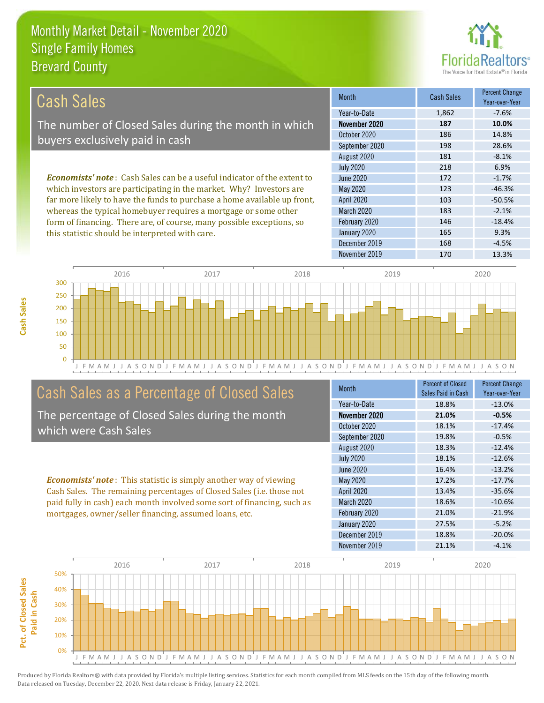this statistic should be interpreted with care.



165 9.3%

| Cash Sales                                                                     | <b>Month</b>      | <b>Cash Sales</b> | <b>Percent Change</b><br>Year-over-Year |
|--------------------------------------------------------------------------------|-------------------|-------------------|-----------------------------------------|
|                                                                                | Year-to-Date      | 1,862             | $-7.6%$                                 |
| The number of Closed Sales during the month in which                           | November 2020     | 187               | 10.0%                                   |
| buyers exclusively paid in cash                                                | October 2020      | 186               | 14.8%                                   |
|                                                                                | September 2020    | 198               | 28.6%                                   |
|                                                                                | August 2020       | 181               | $-8.1%$                                 |
|                                                                                | <b>July 2020</b>  | 218               | 6.9%                                    |
| <b>Economists' note:</b> Cash Sales can be a useful indicator of the extent to | June 2020         | 172               | $-1.7%$                                 |
| which investors are participating in the market. Why? Investors are            | May 2020          | 123               | $-46.3%$                                |
| far more likely to have the funds to purchase a home available up front,       | <b>April 2020</b> | 103               | $-50.5%$                                |
| whereas the typical homebuyer requires a mortgage or some other                | <b>March 2020</b> | 183               | $-2.1%$                                 |
| form of financing. There are, of course, many possible exceptions, so          | February 2020     | 146               | $-18.4%$                                |



## Cash Sales as a Percentage of Closed Sales

The percentage of Closed Sales during the month which were Cash Sales

*Economists' note* : This statistic is simply another way of viewing Cash Sales. The remaining percentages of Closed Sales (i.e. those not paid fully in cash) each month involved some sort of financing, such as mortgages, owner/seller financing, assumed loans, etc.

| Month             | <b>Percent of Closed</b><br>Sales Paid in Cash | <b>Percent Change</b><br>Year-over-Year |
|-------------------|------------------------------------------------|-----------------------------------------|
| Year-to-Date      | 18.8%                                          | $-13.0%$                                |
| November 2020     | 21.0%                                          | $-0.5%$                                 |
| October 2020      | 18.1%                                          | $-17.4%$                                |
| September 2020    | 19.8%                                          | $-0.5%$                                 |
| August 2020       | 18.3%                                          | $-12.4%$                                |
| <b>July 2020</b>  | 18.1%                                          | $-12.6%$                                |
| June 2020         | 16.4%                                          | $-13.2%$                                |
| <b>May 2020</b>   | 17.2%                                          | $-17.7%$                                |
| <b>April 2020</b> | 13.4%                                          | $-35.6%$                                |
| <b>March 2020</b> | 18.6%                                          | $-10.6%$                                |
| February 2020     | 21.0%                                          | $-21.9%$                                |
| January 2020      | 27.5%                                          | $-5.2%$                                 |
| December 2019     | 18.8%                                          | $-20.0%$                                |
| November 2019     | 21.1%                                          | $-4.1%$                                 |

December 2019 168 -4.5%

January 2020

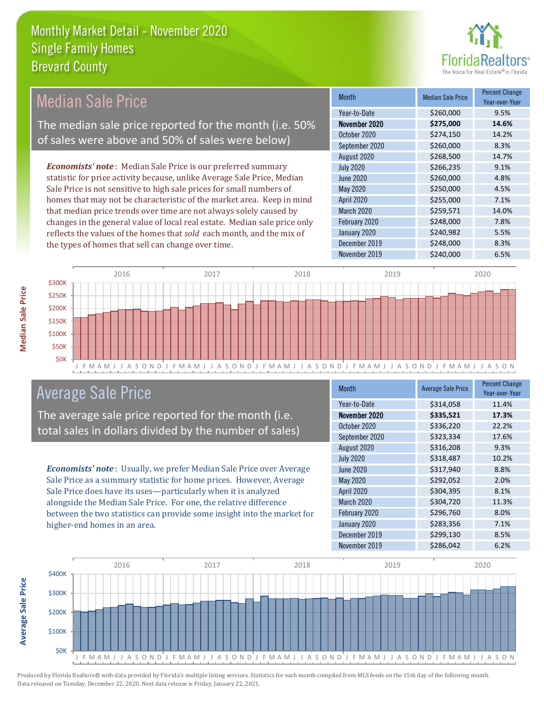

## Median Sale Price

The median sale price reported for the month (i.e. 50% of sales were above and 50% of sales were below)

*Economists' note* : Median Sale Price is our preferred summary statistic for price activity because, unlike Average Sale Price, Median Sale Price is not sensitive to high sale prices for small numbers of homes that may not be characteristic of the market area. Keep in mind that median price trends over time are not always solely caused by changes in the general value of local real estate. Median sale price only reflects the values of the homes that *sold* each month, and the mix of the types of homes that sell can change over time.

| <b>Month</b>     | <b>Median Sale Price</b> | <b>Percent Change</b><br>Year-over-Year |
|------------------|--------------------------|-----------------------------------------|
| Year-to-Date     | \$260,000                | 9.5%                                    |
| November 2020    | \$275,000                | 14.6%                                   |
| October 2020     | \$274,150                | 14.2%                                   |
| September 2020   | \$260,000                | 8.3%                                    |
| August 2020      | \$268,500                | 14.7%                                   |
| <b>July 2020</b> | \$266,235                | 9.1%                                    |
| <b>June 2020</b> | \$260,000                | 4.8%                                    |
| May 2020         | \$250,000                | 4.5%                                    |
| April 2020       | \$255,000                | 7.1%                                    |
| March 2020       | \$259,571                | 14.0%                                   |
| February 2020    | \$248,000                | 7.8%                                    |
| January 2020     | \$240,982                | 5.5%                                    |
| December 2019    | \$248,000                | 8.3%                                    |
| November 2019    | \$240,000                | 6.5%                                    |



## Average Sale Price

The average sale price reported for the month (i.e. total sales in dollars divided by the number of sales)

*Economists' note* : Usually, we prefer Median Sale Price over Average Sale Price as a summary statistic for home prices. However, Average Sale Price does have its uses—particularly when it is analyzed alongside the Median Sale Price. For one, the relative difference between the two statistics can provide some insight into the market for higher-end homes in an area.

| <b>Month</b>      | <b>Average Sale Price</b> | <b>Percent Change</b><br>Year-over-Year |
|-------------------|---------------------------|-----------------------------------------|
| Year-to-Date      | \$314,058                 | 11.4%                                   |
| November 2020     | \$335,521                 | 17.3%                                   |
| October 2020      | \$336,220                 | 22.2%                                   |
| September 2020    | \$323,334                 | 17.6%                                   |
| August 2020       | \$316,208                 | 9.3%                                    |
| <b>July 2020</b>  | \$318,487                 | 10.2%                                   |
| <b>June 2020</b>  | \$317,940                 | 8.8%                                    |
| <b>May 2020</b>   | \$292,052                 | 2.0%                                    |
| April 2020        | \$304,395                 | 8.1%                                    |
| <b>March 2020</b> | \$304,720                 | 11.3%                                   |
| February 2020     | \$296,760                 | 8.0%                                    |
| January 2020      | \$283,356                 | 7.1%                                    |
| December 2019     | \$299,130                 | 8.5%                                    |
| November 2019     | \$286,042                 | 6.2%                                    |



Produced by Florida Realtors® with data provided by Florida's multiple listing services. Statistics for each month compiled from MLS feeds on the 15th day of the following month. Data released on Tuesday, December 22, 2020. Next data release is Friday, January 22, 2021.

**Average Sale Price**

Average Sale Price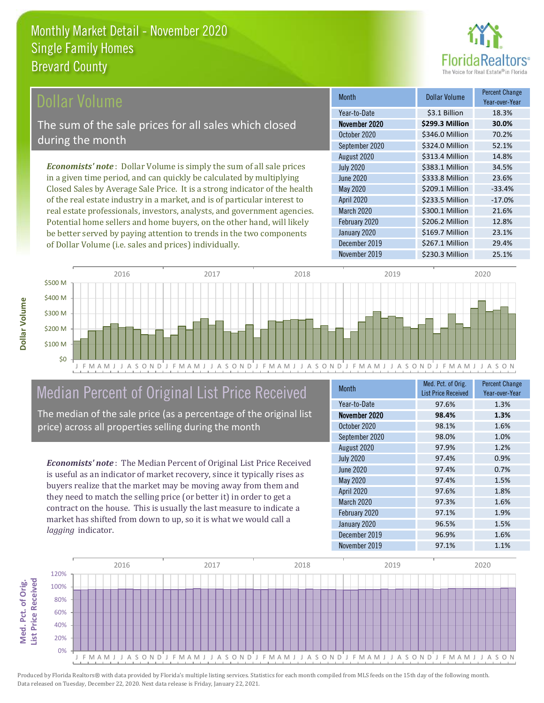

## ollar Volume

The sum of the sale prices for all sales which closed during the month

*Economists' note* : Dollar Volume is simply the sum of all sale prices in a given time period, and can quickly be calculated by multiplying Closed Sales by Average Sale Price. It is a strong indicator of the health of the real estate industry in a market, and is of particular interest to real estate professionals, investors, analysts, and government agencies. Potential home sellers and home buyers, on the other hand, will likely be better served by paying attention to trends in the two components of Dollar Volume (i.e. sales and prices) individually.

| <b>Month</b>      | <b>Dollar Volume</b> | <b>Percent Change</b><br>Year-over-Year |
|-------------------|----------------------|-----------------------------------------|
| Year-to-Date      | \$3.1 Billion        | 18.3%                                   |
| November 2020     | \$299.3 Million      | 30.0%                                   |
| October 2020      | \$346.0 Million      | 70.2%                                   |
| September 2020    | \$324.0 Million      | 52.1%                                   |
| August 2020       | \$313.4 Million      | 14.8%                                   |
| <b>July 2020</b>  | \$383.1 Million      | 34.5%                                   |
| <b>June 2020</b>  | \$333.8 Million      | 23.6%                                   |
| May 2020          | \$209.1 Million      | $-33.4%$                                |
| <b>April 2020</b> | \$233.5 Million      | $-17.0%$                                |
| <b>March 2020</b> | \$300.1 Million      | 21.6%                                   |
| February 2020     | \$206.2 Million      | 12.8%                                   |
| January 2020      | \$169.7 Million      | 23.1%                                   |
| December 2019     | \$267.1 Million      | 29.4%                                   |
| November 2019     | \$230.3 Million      | 25.1%                                   |



# Median Percent of Original List Price Received

The median of the sale price (as a percentage of the original list price) across all properties selling during the month

*Economists' note* : The Median Percent of Original List Price Received is useful as an indicator of market recovery, since it typically rises as buyers realize that the market may be moving away from them and they need to match the selling price (or better it) in order to get a contract on the house. This is usually the last measure to indicate a market has shifted from down to up, so it is what we would call a *lagging* indicator.

| <b>Month</b>      | Med. Pct. of Orig.<br><b>List Price Received</b> | <b>Percent Change</b><br>Year-over-Year |
|-------------------|--------------------------------------------------|-----------------------------------------|
| Year-to-Date      | 97.6%                                            | 1.3%                                    |
| November 2020     | 98.4%                                            | 1.3%                                    |
| October 2020      | 98.1%                                            | 1.6%                                    |
| September 2020    | 98.0%                                            | 1.0%                                    |
| August 2020       | 97.9%                                            | 1.2%                                    |
| <b>July 2020</b>  | 97.4%                                            | 0.9%                                    |
| <b>June 2020</b>  | 97.4%                                            | 0.7%                                    |
| <b>May 2020</b>   | 97.4%                                            | 1.5%                                    |
| April 2020        | 97.6%                                            | 1.8%                                    |
| <b>March 2020</b> | 97.3%                                            | 1.6%                                    |
| February 2020     | 97.1%                                            | 1.9%                                    |
| January 2020      | 96.5%                                            | 1.5%                                    |
| December 2019     | 96.9%                                            | 1.6%                                    |
| November 2019     | 97.1%                                            | 1.1%                                    |



Dollar Volume **Dollar Volume**

**Med. Pct. of Orig.** 

Med. Pct. of Orig.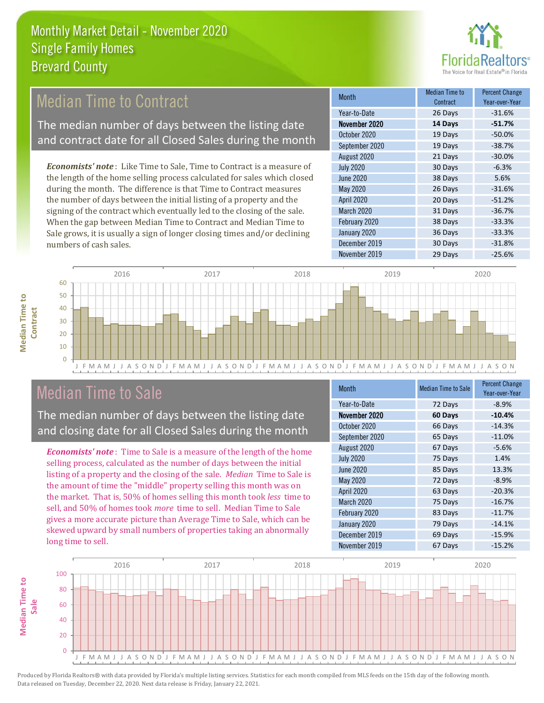

## Median Time to Contract

The median number of days between the listing date and contract date for all Closed Sales during the month

*Economists' note* : Like Time to Sale, Time to Contract is a measure of the length of the home selling process calculated for sales which closed during the month. The difference is that Time to Contract measures the number of days between the initial listing of a property and the signing of the contract which eventually led to the closing of the sale. When the gap between Median Time to Contract and Median Time to Sale grows, it is usually a sign of longer closing times and/or declining numbers of cash sales.

| Month             | <b>Median Time to</b><br>Contract | <b>Percent Change</b><br>Year-over-Year |
|-------------------|-----------------------------------|-----------------------------------------|
| Year-to-Date      | 26 Days                           | $-31.6%$                                |
| November 2020     | 14 Days                           | $-51.7%$                                |
| October 2020      | 19 Days                           | $-50.0%$                                |
| September 2020    | 19 Days                           | $-38.7%$                                |
| August 2020       | 21 Days                           | $-30.0%$                                |
| <b>July 2020</b>  | 30 Days                           | $-6.3%$                                 |
| <b>June 2020</b>  | 38 Days                           | 5.6%                                    |
| May 2020          | 26 Days                           | $-31.6%$                                |
| April 2020        | 20 Days                           | $-51.2%$                                |
| <b>March 2020</b> | 31 Days                           | $-36.7%$                                |
| February 2020     | 38 Days                           | $-33.3%$                                |
| January 2020      | 36 Days                           | $-33.3%$                                |
| December 2019     | 30 Days                           | $-31.8%$                                |
| November 2019     | 29 Days                           | $-25.6%$                                |



## Median Time to Sale

**Median Time to** 

**Median Time to** 

The median number of days between the listing date and closing date for all Closed Sales during the month

*Economists' note* : Time to Sale is a measure of the length of the home selling process, calculated as the number of days between the initial listing of a property and the closing of the sale. *Median* Time to Sale is the amount of time the "middle" property selling this month was on the market. That is, 50% of homes selling this month took *less* time to sell, and 50% of homes took *more* time to sell. Median Time to Sale gives a more accurate picture than Average Time to Sale, which can be skewed upward by small numbers of properties taking an abnormally long time to sell.

| <b>Month</b>      | <b>Median Time to Sale</b> | <b>Percent Change</b><br>Year-over-Year |
|-------------------|----------------------------|-----------------------------------------|
| Year-to-Date      | 72 Days                    | $-8.9%$                                 |
| November 2020     | 60 Days                    | $-10.4%$                                |
| October 2020      | 66 Days                    | $-14.3%$                                |
| September 2020    | 65 Days                    | $-11.0%$                                |
| August 2020       | 67 Days                    | $-5.6%$                                 |
| <b>July 2020</b>  | 75 Days                    | 1.4%                                    |
| <b>June 2020</b>  | 85 Days                    | 13.3%                                   |
| <b>May 2020</b>   | 72 Days                    | $-8.9%$                                 |
| <b>April 2020</b> | 63 Days                    | $-20.3%$                                |
| March 2020        | 75 Days                    | $-16.7%$                                |
| February 2020     | 83 Days                    | $-11.7%$                                |
| January 2020      | 79 Days                    | $-14.1%$                                |
| December 2019     | 69 Days                    | $-15.9%$                                |
| November 2019     | 67 Days                    | $-15.2%$                                |

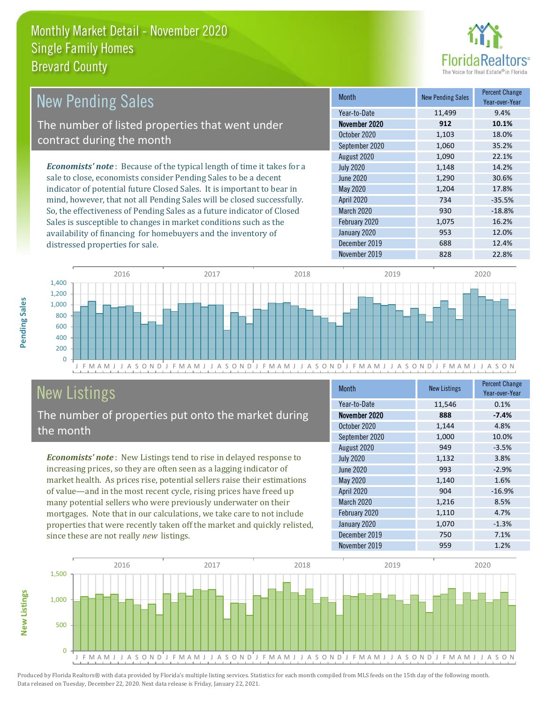

| New Pending Sales                                                              | <b>Month</b>      | <b>New Pending Sales</b> | <b>Percent Change</b><br>Year-over-Year |
|--------------------------------------------------------------------------------|-------------------|--------------------------|-----------------------------------------|
|                                                                                | Year-to-Date      | 11,499                   | 9.4%                                    |
| The number of listed properties that went under                                | November 2020     | 912                      | 10.1%                                   |
| contract during the month                                                      | October 2020      | 1,103                    | 18.0%                                   |
|                                                                                | September 2020    | 1,060                    | 35.2%                                   |
|                                                                                | August 2020       | 1,090                    | 22.1%                                   |
| <b>Economists' note</b> : Because of the typical length of time it takes for a | <b>July 2020</b>  | 1,148                    | 14.2%                                   |
| sale to close, economists consider Pending Sales to be a decent                | June 2020         | 1,290                    | 30.6%                                   |
| indicator of potential future Closed Sales. It is important to bear in         | May 2020          | 1.204                    | 17.8%                                   |
| mind, however, that not all Pending Sales will be closed successfully.         | <b>April 2020</b> | 734                      | $-35.5%$                                |
| So, the effectiveness of Pending Sales as a future indicator of Closed         | March 2020        | 930                      | $-18.8%$                                |
| Sales is susceptible to changes in market conditions such as the               | February 2020     | 1.075                    | 16.2%                                   |



# New Listings

distressed properties for sale.

The number of properties put onto the market during the month

availability of financing for homebuyers and the inventory of

*Economists' note* : New Listings tend to rise in delayed response to increasing prices, so they are often seen as a lagging indicator of market health. As prices rise, potential sellers raise their estimations of value—and in the most recent cycle, rising prices have freed up many potential sellers who were previously underwater on their mortgages. Note that in our calculations, we take care to not include properties that were recently taken off the market and quickly relisted, since these are not really *new* listings.

| <b>Month</b>     | <b>New Listings</b> | <b>Percent Change</b><br>Year-over-Year |
|------------------|---------------------|-----------------------------------------|
| Year-to-Date     | 11,546              | 0.1%                                    |
| November 2020    | 888                 | $-7.4%$                                 |
| October 2020     | 1,144               | 4.8%                                    |
| September 2020   | 1,000               | 10.0%                                   |
| August 2020      | 949                 | $-3.5%$                                 |
| <b>July 2020</b> | 1,132               | 3.8%                                    |
| June 2020        | 993                 | $-2.9%$                                 |
| <b>May 2020</b>  | 1,140               | 1.6%                                    |
| April 2020       | 904                 | $-16.9%$                                |
| March 2020       | 1,216               | 8.5%                                    |
| February 2020    | 1,110               | 4.7%                                    |
| January 2020     | 1,070               | $-1.3%$                                 |
| December 2019    | 750                 | 7.1%                                    |
| November 2019    | 959                 | 1.2%                                    |

November 2019 828 22.8%

January 2020 **12.0%** 953 12.0% December 2019 688 12.4%



Produced by Florida Realtors® with data provided by Florida's multiple listing services. Statistics for each month compiled from MLS feeds on the 15th day of the following month. Data released on Tuesday, December 22, 2020. Next data release is Friday, January 22, 2021.

**New Listings**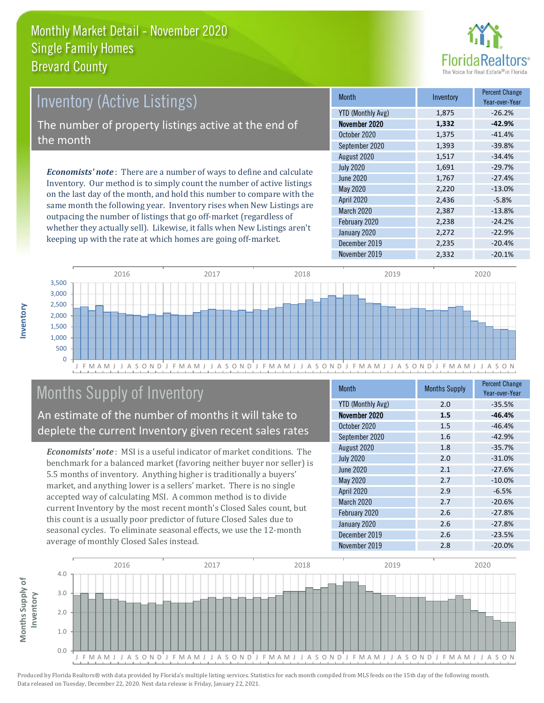

# Inventory (Active Listings) The number of property listings active at the end of the month

*Economists' note* : There are a number of ways to define and calculate Inventory. Our method is to simply count the number of active listings on the last day of the month, and hold this number to compare with the same month the following year. Inventory rises when New Listings are outpacing the number of listings that go off-market (regardless of whether they actually sell). Likewise, it falls when New Listings aren't keeping up with the rate at which homes are going off-market.

| <b>Month</b>             | Inventory | <b>Percent Change</b><br>Year-over-Year |
|--------------------------|-----------|-----------------------------------------|
| <b>YTD (Monthly Avg)</b> | 1,875     | $-26.2%$                                |
| November 2020            | 1,332     | $-42.9%$                                |
| October 2020             | 1,375     | $-41.4%$                                |
| September 2020           | 1,393     | $-39.8%$                                |
| August 2020              | 1,517     | $-34.4%$                                |
| <b>July 2020</b>         | 1,691     | $-29.7%$                                |
| <b>June 2020</b>         | 1,767     | $-27.4%$                                |
| May 2020                 | 2,220     | $-13.0%$                                |
| April 2020               | 2,436     | $-5.8%$                                 |
| <b>March 2020</b>        | 2,387     | $-13.8%$                                |
| February 2020            | 2,238     | $-24.2%$                                |
| January 2020             | 2,272     | $-22.9%$                                |
| December 2019            | 2,235     | $-20.4%$                                |
| November 2019            | 2,332     | $-20.1%$                                |



# Months Supply of Inventory

An estimate of the number of months it will take to deplete the current Inventory given recent sales rates

*Economists' note* : MSI is a useful indicator of market conditions. The benchmark for a balanced market (favoring neither buyer nor seller) is 5.5 months of inventory. Anything higher is traditionally a buyers' market, and anything lower is a sellers' market. There is no single accepted way of calculating MSI. A common method is to divide current Inventory by the most recent month's Closed Sales count, but this count is a usually poor predictor of future Closed Sales due to seasonal cycles. To eliminate seasonal effects, we use the 12-month average of monthly Closed Sales instead.

| <b>Month</b>             | <b>Months Supply</b> | <b>Percent Change</b><br>Year-over-Year |
|--------------------------|----------------------|-----------------------------------------|
| <b>YTD (Monthly Avg)</b> | 2.0                  | $-35.5%$                                |
| November 2020            | 1.5                  | $-46.4%$                                |
| October 2020             | 1.5                  | $-46.4%$                                |
| September 2020           | 1.6                  | $-42.9%$                                |
| August 2020              | 1.8                  | $-35.7%$                                |
| <b>July 2020</b>         | 2.0                  | $-31.0%$                                |
| June 2020                | 2.1                  | $-27.6%$                                |
| May 2020                 | 2.7                  | $-10.0%$                                |
| April 2020               | 2.9                  | $-6.5%$                                 |
| <b>March 2020</b>        | 2.7                  | $-20.6%$                                |
| February 2020            | 2.6                  | $-27.8%$                                |
| January 2020             | 2.6                  | $-27.8%$                                |
| December 2019            | 2.6                  | $-23.5%$                                |
| November 2019            | 2.8                  | $-20.0%$                                |

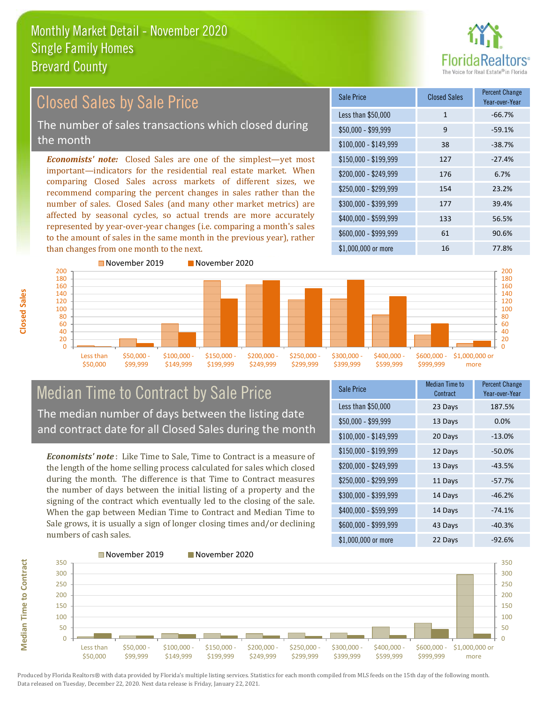

| <b>Closed Sales by Sale Price</b>                                                                                                                                                                                                                                                                                                                                                                                                                                                                                                                                            | Sale Price            | <b>Closed Sales</b> | <b>Percent Change</b><br>Year-over-Year |
|------------------------------------------------------------------------------------------------------------------------------------------------------------------------------------------------------------------------------------------------------------------------------------------------------------------------------------------------------------------------------------------------------------------------------------------------------------------------------------------------------------------------------------------------------------------------------|-----------------------|---------------------|-----------------------------------------|
|                                                                                                                                                                                                                                                                                                                                                                                                                                                                                                                                                                              | Less than \$50,000    |                     | $-66.7%$                                |
| The number of sales transactions which closed during                                                                                                                                                                                                                                                                                                                                                                                                                                                                                                                         | $$50,000 - $99,999$   | 9                   | $-59.1%$                                |
| the month                                                                                                                                                                                                                                                                                                                                                                                                                                                                                                                                                                    | $$100,000 - $149,999$ | 38                  | $-38.7%$                                |
| <b>Economists' note:</b> Closed Sales are one of the simplest—yet most<br>important-indicators for the residential real estate market. When<br>comparing Closed Sales across markets of different sizes, we<br>recommend comparing the percent changes in sales rather than the<br>number of sales. Closed Sales (and many other market metrics) are<br>affected by seasonal cycles, so actual trends are more accurately<br>represented by year-over-year changes (i.e. comparing a month's sales<br>to the amount of sales in the same month in the previous year), rather | $$150,000 - $199,999$ | 127                 | $-27.4%$                                |
|                                                                                                                                                                                                                                                                                                                                                                                                                                                                                                                                                                              | \$200,000 - \$249,999 | 176                 | 6.7%                                    |
|                                                                                                                                                                                                                                                                                                                                                                                                                                                                                                                                                                              | \$250,000 - \$299,999 | 154                 | 23.2%                                   |
|                                                                                                                                                                                                                                                                                                                                                                                                                                                                                                                                                                              | \$300,000 - \$399,999 | 177                 | 39.4%                                   |
|                                                                                                                                                                                                                                                                                                                                                                                                                                                                                                                                                                              | \$400,000 - \$599,999 | 133                 | 56.5%                                   |
|                                                                                                                                                                                                                                                                                                                                                                                                                                                                                                                                                                              | $$600,000 - $999,999$ | 61                  | 90.6%                                   |
| than changes from one month to the next.                                                                                                                                                                                                                                                                                                                                                                                                                                                                                                                                     | \$1,000,000 or more   | 16                  | 77.8%                                   |
| November 2019<br>November 2020<br>∩∩ר                                                                                                                                                                                                                                                                                                                                                                                                                                                                                                                                        |                       |                     | ാററ                                     |



## Median Time to Contract by Sale Price The median number of days between the listing date and contract date for all Closed Sales during the month

*Economists' note* : Like Time to Sale, Time to Contract is a measure of the length of the home selling process calculated for sales which closed during the month. The difference is that Time to Contract measures the number of days between the initial listing of a property and the signing of the contract which eventually led to the closing of the sale. When the gap between Median Time to Contract and Median Time to Sale grows, it is usually a sign of longer closing times and/or declining numbers of cash sales.

| <b>Sale Price</b>     | <b>Median Time to</b><br>Contract | <b>Percent Change</b><br>Year-over-Year |
|-----------------------|-----------------------------------|-----------------------------------------|
| Less than \$50,000    | 23 Days                           | 187.5%                                  |
| $$50,000 - $99,999$   | 13 Days                           | 0.0%                                    |
| $$100,000 - $149,999$ | 20 Days                           | $-13.0%$                                |
| $$150,000 - $199,999$ | 12 Days                           | $-50.0\%$                               |
| \$200,000 - \$249,999 | 13 Days                           | $-43.5%$                                |
| \$250,000 - \$299,999 | 11 Days                           | $-57.7%$                                |
| \$300,000 - \$399,999 | 14 Days                           | $-46.2%$                                |
| \$400,000 - \$599,999 | 14 Days                           | $-74.1%$                                |
| \$600,000 - \$999,999 | 43 Days                           | $-40.3%$                                |
| \$1,000,000 or more   | 22 Days                           | $-92.6%$                                |



Produced by Florida Realtors® with data provided by Florida's multiple listing services. Statistics for each month compiled from MLS feeds on the 15th day of the following month. Data released on Tuesday, December 22, 2020. Next data release is Friday, January 22, 2021.

**Median Time to Contract**

**Median Time to Contract**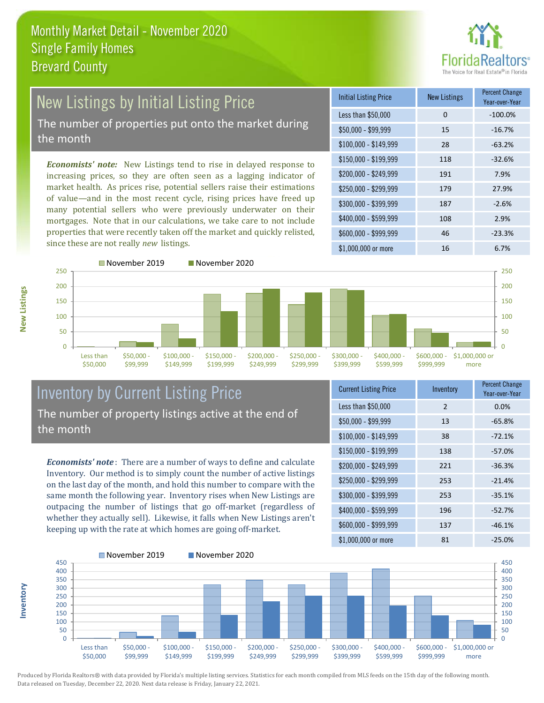

### New Listings by Initial Listing Price The number of properties put onto the market during the month

*Economists' note:* New Listings tend to rise in delayed response to increasing prices, so they are often seen as a lagging indicator of market health. As prices rise, potential sellers raise their estimations of value—and in the most recent cycle, rising prices have freed up many potential sellers who were previously underwater on their mortgages. Note that in our calculations, we take care to not include properties that were recently taken off the market and quickly relisted, since these are not really *new* listings.

| <b>Initial Listing Price</b> | <b>New Listings</b> | <b>Percent Change</b><br>Year-over-Year |
|------------------------------|---------------------|-----------------------------------------|
| Less than \$50,000           | 0                   | $-100.0%$                               |
| $$50,000 - $99,999$          | 15                  | $-16.7%$                                |
| $$100,000 - $149,999$        | 28                  | $-63.2%$                                |
| $$150,000 - $199,999$        | 118                 | $-32.6%$                                |
| \$200,000 - \$249,999        | 191                 | 7.9%                                    |
| $$250,000 - $299,999$        | 179                 | 27.9%                                   |
| \$300,000 - \$399,999        | 187                 | $-2.6%$                                 |
| \$400,000 - \$599,999        | 108                 | 2.9%                                    |
| \$600,000 - \$999,999        | 46                  | $-23.3%$                                |
| \$1,000,000 or more          | 16                  | 6.7%                                    |



## Inventory by Current Listing Price The number of property listings active at the end of the month

*Economists' note* : There are a number of ways to define and calculate Inventory. Our method is to simply count the number of active listings on the last day of the month, and hold this number to compare with the same month the following year. Inventory rises when New Listings are outpacing the number of listings that go off-market (regardless of whether they actually sell). Likewise, it falls when New Listings aren't keeping up with the rate at which homes are going off-market.

| <b>Current Listing Price</b> | Inventory     | <b>Percent Change</b><br>Year-over-Year |
|------------------------------|---------------|-----------------------------------------|
| Less than \$50,000           | $\mathcal{P}$ | 0.0%                                    |
| $$50,000 - $99,999$          | 13            | $-65.8%$                                |
| $$100,000 - $149,999$        | 38            | $-72.1%$                                |
| $$150,000 - $199,999$        | 138           | $-57.0%$                                |
| \$200,000 - \$249,999        | 221           | $-36.3%$                                |
| \$250,000 - \$299,999        | 253           | $-21.4%$                                |
| \$300,000 - \$399,999        | 253           | $-35.1%$                                |
| $$400,000 - $599,999$        | 196           | $-52.7%$                                |
| \$600,000 - \$999,999        | 137           | $-46.1%$                                |
| \$1,000,000 or more          | 81            | $-25.0%$                                |



Produced by Florida Realtors® with data provided by Florida's multiple listing services. Statistics for each month compiled from MLS feeds on the 15th day of the following month. Data released on Tuesday, December 22, 2020. Next data release is Friday, January 22, 2021.

**Inventory**